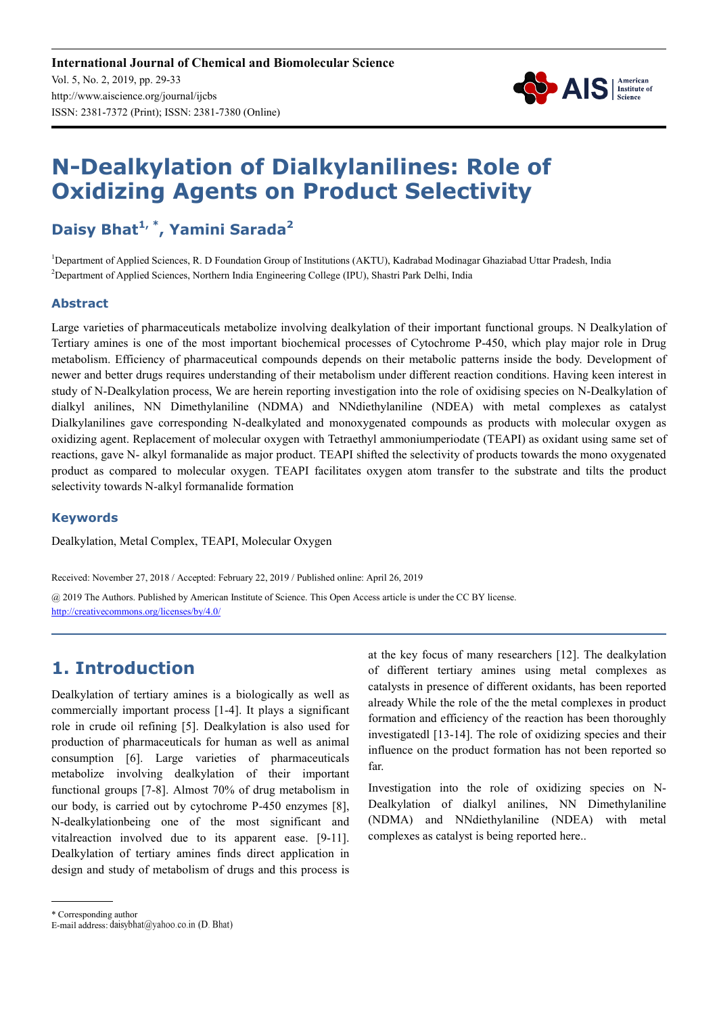

# **N-Dealkylation of Dialkylanilines: Role of Oxidizing Agents on Product Selectivity**

## **Daisy Bhat1, \*, Yamini Sarada<sup>2</sup>**

<sup>1</sup>Department of Applied Sciences, R. D Foundation Group of Institutions (AKTU), Kadrabad Modinagar Ghaziabad Uttar Pradesh, India <sup>2</sup>Department of Applied Sciences, Northern India Engineering College (IPU), Shastri Park Delhi, India

#### **Abstract**

Large varieties of pharmaceuticals metabolize involving dealkylation of their important functional groups. N Dealkylation of Tertiary amines is one of the most important biochemical processes of Cytochrome P-450, which play major role in Drug metabolism. Efficiency of pharmaceutical compounds depends on their metabolic patterns inside the body. Development of newer and better drugs requires understanding of their metabolism under different reaction conditions. Having keen interest in study of N-Dealkylation process, We are herein reporting investigation into the role of oxidising species on N-Dealkylation of dialkyl anilines, NN Dimethylaniline (NDMA) and NNdiethylaniline (NDEA) with metal complexes as catalyst Dialkylanilines gave corresponding N-dealkylated and monoxygenated compounds as products with molecular oxygen as oxidizing agent. Replacement of molecular oxygen with Tetraethyl ammoniumperiodate (TEAPI) as oxidant using same set of reactions, gave N- alkyl formanalide as major product. TEAPI shifted the selectivity of products towards the mono oxygenated product as compared to molecular oxygen. TEAPI facilitates oxygen atom transfer to the substrate and tilts the product selectivity towards N-alkyl formanalide formation

#### **Keywords**

Dealkylation, Metal Complex, TEAPI, Molecular Oxygen

Received: November 27, 2018 / Accepted: February 22, 2019 / Published online: April 26, 2019

@ 2019 The Authors. Published by American Institute of Science. This Open Access article is under the CC BY license. http://creativecommons.org/licenses/by/4.0/

## **1. Introduction**

Dealkylation of tertiary amines is a biologically as well as commercially important process [1-4]. It plays a significant role in crude oil refining [5]. Dealkylation is also used for production of pharmaceuticals for human as well as animal consumption [6]. Large varieties of pharmaceuticals metabolize involving dealkylation of their important functional groups [7-8]. Almost 70% of drug metabolism in our body, is carried out by cytochrome P-450 enzymes [8], N-dealkylationbeing one of the most significant and vitalreaction involved due to its apparent ease. [9-11]. Dealkylation of tertiary amines finds direct application in design and study of metabolism of drugs and this process is at the key focus of many researchers [12]. The dealkylation of different tertiary amines using metal complexes as catalysts in presence of different oxidants, has been reported already While the role of the the metal complexes in product formation and efficiency of the reaction has been thoroughly investigatedl [13-14]. The role of oxidizing species and their influence on the product formation has not been reported so far.

Investigation into the role of oxidizing species on N-Dealkylation of dialkyl anilines, NN Dimethylaniline (NDMA) and NNdiethylaniline (NDEA) with metal complexes as catalyst is being reported here..

\* Corresponding author

E-mail address: daisybhat@yahoo.co.in (D. Bhat)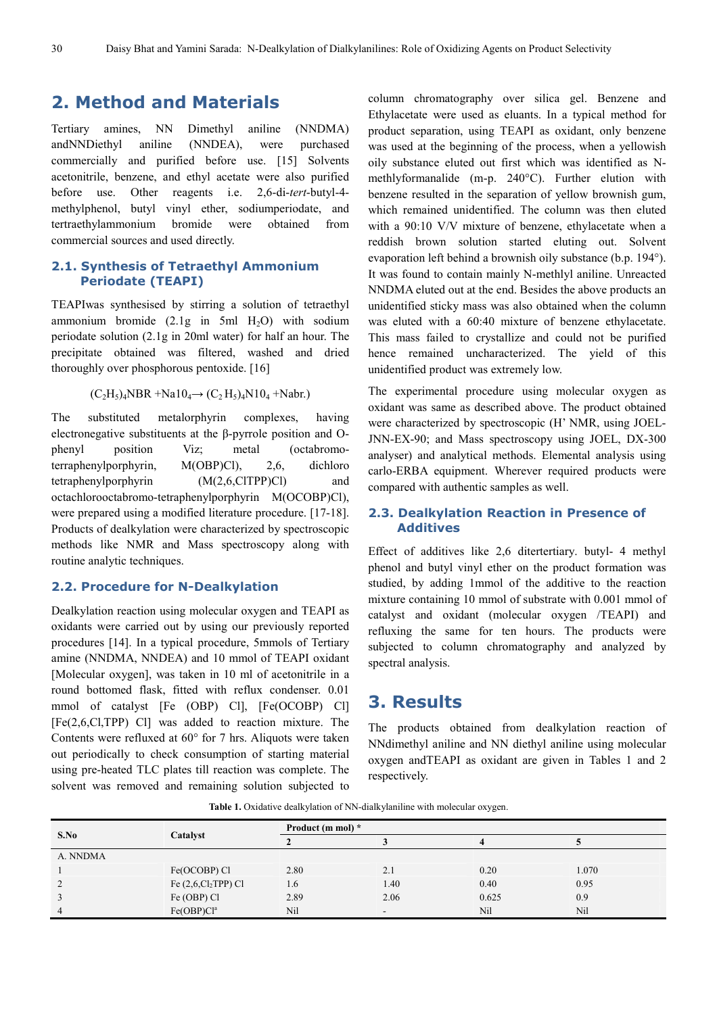## **2. Method and Materials**

Tertiary amines, NN Dimethyl aniline (NNDMA) andNNDiethyl aniline (NNDEA), were purchased commercially and purified before use. [15] Solvents acetonitrile, benzene, and ethyl acetate were also purified before use. Other reagents i.e. 2,6-di-*tert*-butyl-4 methylphenol, butyl vinyl ether, sodiumperiodate, and tertraethylammonium bromide were obtained from commercial sources and used directly.

#### **2.1. Synthesis of Tetraethyl Ammonium Periodate (TEAPI)**

TEAPIwas synthesised by stirring a solution of tetraethyl ammonium bromide  $(2.1g$  in 5ml  $H_2O$ ) with sodium periodate solution (2.1g in 20ml water) for half an hour. The precipitate obtained was filtered, washed and dried thoroughly over phosphorous pentoxide. [16]

#### $(C_2H_5)_4NBR + Na10_4 \rightarrow (C_2H_5)_4N10_4 +Nabr.$

The substituted metalorphyrin complexes, having electronegative substituents at the β-pyrrole position and Ophenyl position Viz; metal (octabromoterraphenylporphyrin, M(OBP)Cl), 2,6, dichloro tetraphenylporphyrin (M(2,6,ClTPP)Cl) and octachlorooctabromo-tetraphenylporphyrin M(OCOBP)Cl), were prepared using a modified literature procedure. [17-18]. Products of dealkylation were characterized by spectroscopic methods like NMR and Mass spectroscopy along with routine analytic techniques.

#### **2.2. Procedure for N-Dealkylation**

Dealkylation reaction using molecular oxygen and TEAPI as oxidants were carried out by using our previously reported procedures [14]. In a typical procedure, 5mmols of Tertiary amine (NNDMA, NNDEA) and 10 mmol of TEAPI oxidant [Molecular oxygen], was taken in 10 ml of acetonitrile in a round bottomed flask, fitted with reflux condenser. 0.01 mmol of catalyst [Fe (OBP) Cl], [Fe(OCOBP) Cl] [Fe(2,6,Cl,TPP) Cl] was added to reaction mixture. The Contents were refluxed at 60° for 7 hrs. Aliquots were taken out periodically to check consumption of starting material using pre-heated TLC plates till reaction was complete. The solvent was removed and remaining solution subjected to

column chromatography over silica gel. Benzene and Ethylacetate were used as eluants. In a typical method for product separation, using TEAPI as oxidant, only benzene was used at the beginning of the process, when a yellowish oily substance eluted out first which was identified as Nmethlyformanalide (m-p. 240°C). Further elution with benzene resulted in the separation of yellow brownish gum, which remained unidentified. The column was then eluted with a 90:10 V/V mixture of benzene, ethylacetate when a reddish brown solution started eluting out. Solvent evaporation left behind a brownish oily substance (b.p. 194°). It was found to contain mainly N-methlyl aniline. Unreacted NNDMA eluted out at the end. Besides the above products an unidentified sticky mass was also obtained when the column was eluted with a 60:40 mixture of benzene ethylacetate. This mass failed to crystallize and could not be purified hence remained uncharacterized. The yield of this unidentified product was extremely low.

The experimental procedure using molecular oxygen as oxidant was same as described above. The product obtained were characterized by spectroscopic (H' NMR, using JOEL-JNN-EX-90; and Mass spectroscopy using JOEL, DX-300 analyser) and analytical methods. Elemental analysis using carlo-ERBA equipment. Wherever required products were compared with authentic samples as well.

#### **2.3. Dealkylation Reaction in Presence of Additives**

Effect of additives like 2,6 ditertertiary. butyl- 4 methyl phenol and butyl vinyl ether on the product formation was studied, by adding 1mmol of the additive to the reaction mixture containing 10 mmol of substrate with 0.001 mmol of catalyst and oxidant (molecular oxygen /TEAPI) and refluxing the same for ten hours. The products were subjected to column chromatography and analyzed by spectral analysis.

## **3. Results**

The products obtained from dealkylation reaction of NNdimethyl aniline and NN diethyl aniline using molecular oxygen andTEAPI as oxidant are given in Tables 1 and 2 respectively.

Table 1. Oxidative dealkylation of NN-dialkylaniline with molecular oxygen.

| S.No           | Catalyst               | Product (m mol) * |                          |       |       |  |
|----------------|------------------------|-------------------|--------------------------|-------|-------|--|
|                |                        |                   |                          |       |       |  |
| A. NNDMA       |                        |                   |                          |       |       |  |
|                | Fe(OCOBP) Cl           | 2.80              | 2.1                      | 0.20  | 1.070 |  |
| ↑              | Fe $(2,6,Cl2TPP)$ Cl   | 1.6               | 1.40                     | 0.40  | 0.95  |  |
|                | Fe (OBP) Cl            | 2.89              | 2.06                     | 0.625 | 0.9   |  |
| $\overline{4}$ | Fe(OBP)Cl <sup>a</sup> | Nil               | $\overline{\phantom{a}}$ | Nil   | Nil   |  |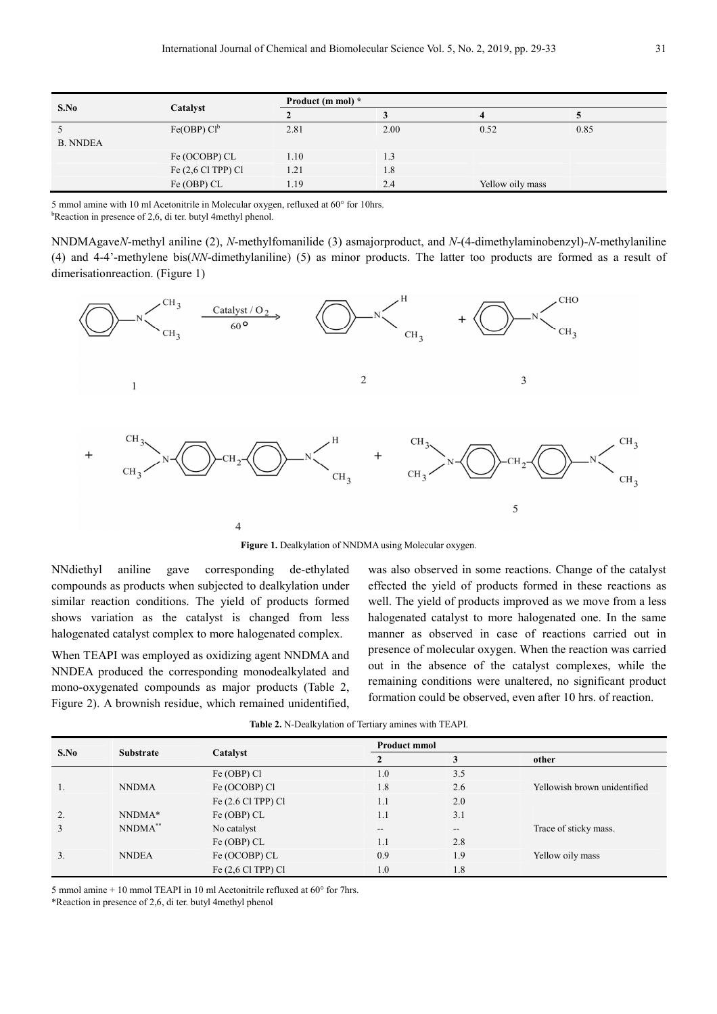| S.No            | Catalyst                | Product (m mol) * |      |                  |      |  |
|-----------------|-------------------------|-------------------|------|------------------|------|--|
|                 |                         |                   |      |                  |      |  |
|                 | Fe(OBP) Cl <sup>b</sup> | 2.81              | 2.00 | 0.52             | 0.85 |  |
| <b>B. NNDEA</b> |                         |                   |      |                  |      |  |
|                 | Fe (OCOBP) CL           | 1.10              | 1.3  |                  |      |  |
|                 | Fe $(2,6$ Cl TPP) Cl    | 1.21              | 1.8  |                  |      |  |
|                 | Fe (OBP) CL             | 1.19              | 2.4  | Yellow oily mass |      |  |

5 mmol amine with 10 ml Acetonitrile in Molecular oxygen, refluxed at 60° for 10hrs.

 $b$ Reaction in presence of 2,6, di ter. butyl 4methyl phenol.

NNDMAgave*N*-methyl aniline (2), *N*-methylfomanilide (3) asmajorproduct, and *N*-(4-dimethylaminobenzyl)-*N*-methylaniline (4) and 4-4'-methylene bis(*NN*-dimethylaniline) (5) as minor products. The latter too products are formed as a result of dimerisationreaction. (Figure 1)



**Figure 1.** Dealkylation of NNDMA using Molecular oxygen.

NNdiethyl aniline gave corresponding de-ethylated compounds as products when subjected to dealkylation under similar reaction conditions. The yield of products formed shows variation as the catalyst is changed from less halogenated catalyst complex to more halogenated complex.

When TEAPI was employed as oxidizing agent NNDMA and NNDEA produced the corresponding monodealkylated and mono-oxygenated compounds as major products (Table 2, Figure 2). A brownish residue, which remained unidentified, was also observed in some reactions. Change of the catalyst effected the yield of products formed in these reactions as well. The yield of products improved as we move from a less halogenated catalyst to more halogenated one. In the same manner as observed in case of reactions carried out in presence of molecular oxygen. When the reaction was carried out in the absence of the catalyst complexes, while the remaining conditions were unaltered, no significant product formation could be observed, even after 10 hrs. of reaction.

| S.No | <b>Substrate</b> |                         |       | <b>Product mmol</b>      |                              |  |  |
|------|------------------|-------------------------|-------|--------------------------|------------------------------|--|--|
|      |                  | Catalyst                |       |                          | other                        |  |  |
|      |                  | Fe (OBP) Cl             | 1.0   | 3.5                      |                              |  |  |
|      | <b>NNDMA</b>     | Fe (OCOBP) Cl           | 1.8   | 2.6                      | Yellowish brown unidentified |  |  |
|      |                  | Fe $(2.6$ Cl TPP $)$ Cl | 1.1   | 2.0                      |                              |  |  |
| 2.   | NNDMA*           | Fe (OBP) CL             | 1.1   | 3.1                      |                              |  |  |
|      | NNDMA**          | No catalyst             | $- -$ | $\overline{\phantom{a}}$ | Trace of sticky mass.        |  |  |
|      |                  | $Fe(OBP)$ CL            | 1.1   | 2.8                      |                              |  |  |
| 3.   | <b>NNDEA</b>     | Fe (OCOBP) CL           | 0.9   | 1.9                      | Yellow oily mass             |  |  |
|      |                  | Fe $(2,6$ Cl TPP $)$ Cl | 1.0   | 1.8                      |                              |  |  |

**Table 2.** N-Dealkylation of Tertiary amines with TEAPI.

5 mmol amine + 10 mmol TEAPI in 10 ml Acetonitrile refluxed at 60° for 7hrs.

\*Reaction in presence of 2,6, di ter. butyl 4methyl phenol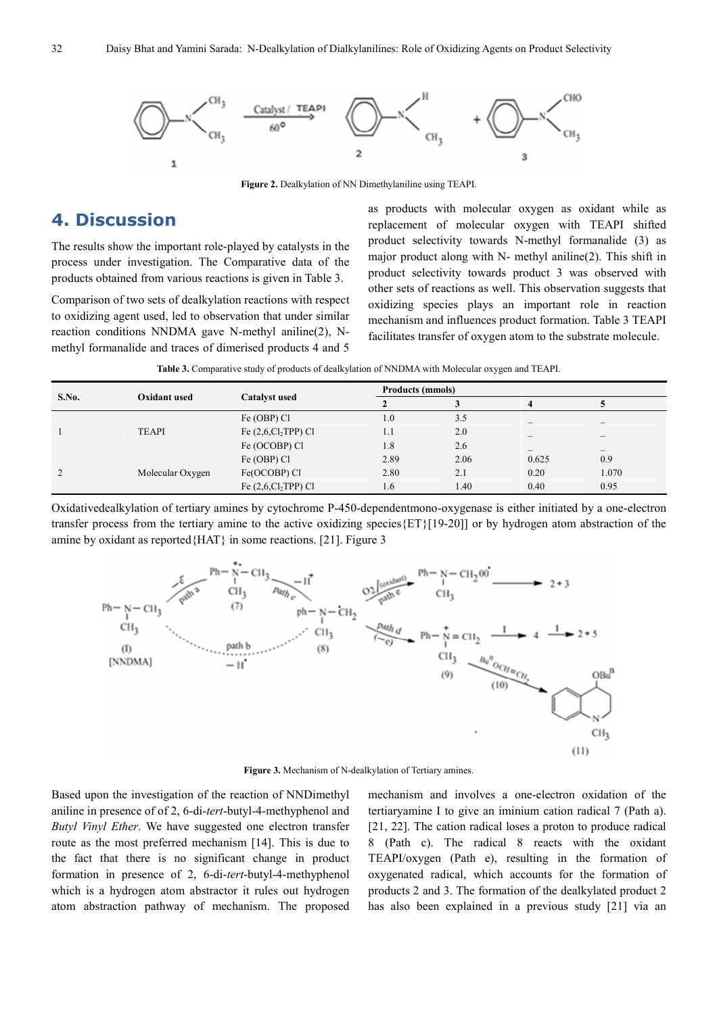

**Figure 2.** Dealkylation of NN Dimethylaniline using TEAPI.

## **4. Discussion**

The results show the important role-played by catalysts in the process under investigation. The Comparative data of the products obtained from various reactions is given in Table 3.

Comparison of two sets of dealkylation reactions with respect to oxidizing agent used, led to observation that under similar reaction conditions NNDMA gave N-methyl aniline(2), Nmethyl formanalide and traces of dimerised products 4 and 5

as products with molecular oxygen as oxidant while as replacement of molecular oxygen with TEAPI shifted product selectivity towards N-methyl formanalide (3) as major product along with N- methyl aniline(2). This shift in product selectivity towards product 3 was observed with other sets of reactions as well. This observation suggests that oxidizing species plays an important role in reaction mechanism and influences product formation. Table 3 TEAPI facilitates transfer of oxygen atom to the substrate molecule.

|  |  | Table 3. Comparative study of products of dealkylation of NNDMA with Molecular oxygen and TEAPI. |  |
|--|--|--------------------------------------------------------------------------------------------------|--|
|  |  |                                                                                                  |  |

| S.No.    | Oxidant used     | <b>Catalyst used</b>            |                  | <b>Products (mmols)</b> |                          |                          |  |
|----------|------------------|---------------------------------|------------------|-------------------------|--------------------------|--------------------------|--|
|          |                  |                                 | ∠                |                         |                          |                          |  |
|          |                  | Fe (OBP) Cl                     | 1.0              | 3.5                     |                          |                          |  |
|          | <b>TEAPI</b>     | Fe $(2,6,\text{Cl}_2$ TPP) Cl   | 1.1              | 2.0                     | $\overline{\phantom{a}}$ | $\overline{\phantom{a}}$ |  |
|          |                  | Fe (OCOBP) Cl                   | 1.8              | 2.6                     |                          | $\overline{\phantom{a}}$ |  |
|          |                  | Fe (OBP) Cl                     | 2.89             | 2.06                    | 0.625                    | 0.9                      |  |
| $\gamma$ | Molecular Oxygen | Fe(OCOBP) Cl                    | 2.80             | 2.1                     | 0.20                     | 1.070                    |  |
|          |                  | Fe $(2,6,\mathrm{Cl}_2$ TPP) Cl | 1.6 <sup>2</sup> | 1.40                    | 0.40                     | 0.95                     |  |

Oxidativedealkylation of tertiary amines by cytochrome P-450-dependentmono-oxygenase is either initiated by a one-electron transfer process from the tertiary amine to the active oxidizing species{ET}[19-20]] or by hydrogen atom abstraction of the amine by oxidant as reported{HAT} in some reactions. [21]. Figure 3



**Figure 3.** Mechanism of N-dealkylation of Tertiary amines.

Based upon the investigation of the reaction of NNDimethyl aniline in presence of of 2, 6-di-*tert*-butyl-4-methyphenol and *Butyl Vinyl Ether*. We have suggested one electron transfer route as the most preferred mechanism [14]. This is due to the fact that there is no significant change in product formation in presence of 2, 6-di-*tert*-butyl-4-methyphenol which is a hydrogen atom abstractor it rules out hydrogen atom abstraction pathway of mechanism. The proposed

mechanism and involves a one-electron oxidation of the tertiaryamine I to give an iminium cation radical 7 (Path a). [21, 22]. The cation radical loses a proton to produce radical 8 (Path c). The radical 8 reacts with the oxidant TEAPI/oxygen (Path e), resulting in the formation of oxygenated radical, which accounts for the formation of products 2 and 3. The formation of the dealkylated product 2 has also been explained in a previous study [21] via an